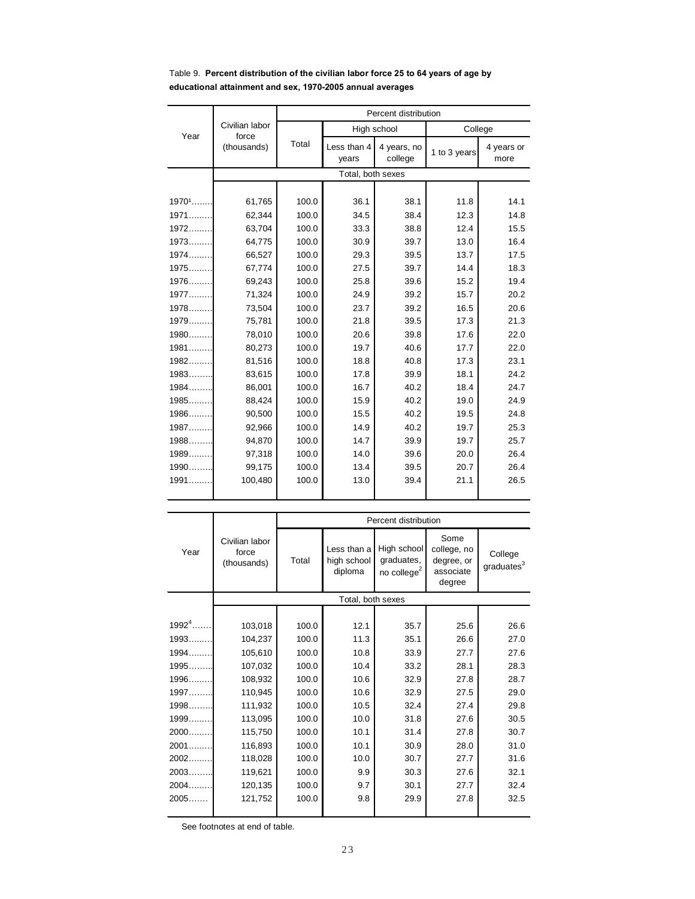|          |                                        | Percent distribution |                      |                        |              |                    |  |
|----------|----------------------------------------|----------------------|----------------------|------------------------|--------------|--------------------|--|
|          | Civilian labor<br>force<br>(thousands) |                      | High school          |                        | College      |                    |  |
| Year     |                                        | Total                | Less than 4<br>years | 4 years, no<br>college | 1 to 3 years | 4 years or<br>more |  |
|          |                                        | Total, both sexes    |                      |                        |              |                    |  |
|          |                                        |                      |                      |                        |              |                    |  |
| $1970^1$ | 61,765                                 | 100.0                | 36.1                 | 38.1                   | 11.8         | 14.1               |  |
| $1971$   | 62,344                                 | 100.0                | 34.5                 | 38.4                   | 12.3         | 14.8               |  |
| $1972$   | 63,704                                 | 100.0                | 33.3                 | 38.8                   | 12.4         | 15.5               |  |
| $1973$   | 64,775                                 | 100.0                | 30.9                 | 39.7                   | 13.0         | 16.4               |  |
| $1974$   | 66,527                                 | 100.0                | 29.3                 | 39.5                   | 13.7         | 17.5               |  |
| $1975$   | 67,774                                 | 100.0                | 27.5                 | 39.7                   | 14.4         | 18.3               |  |
| $1976$   | 69,243                                 | 100.0                | 25.8                 | 39.6                   | 15.2         | 19.4               |  |
| 1977     | 71,324                                 | 100.0                | 24.9                 | 39.2                   | 15.7         | 20.2               |  |
| 1978     | 73,504                                 | 100.0                | 23.7                 | 39.2                   | 16.5         | 20.6               |  |
| 1979     | 75,781                                 | 100.0                | 21.8                 | 39.5                   | 17.3         | 21.3               |  |
| $1980$   | 78,010                                 | 100.0                | 20.6                 | 39.8                   | 17.6         | 22.0               |  |
| 1981     | 80,273                                 | 100.0                | 19.7                 | 40.6                   | 17.7         | 22.0               |  |
| $1982$   | 81,516                                 | 100.0                | 18.8                 | 40.8                   | 17.3         | 23.1               |  |
| 1983     | 83,615                                 | 100.0                | 17.8                 | 39.9                   | 18.1         | 24.2               |  |
| 1984     | 86,001                                 | 100.0                | 16.7                 | 40.2                   | 18.4         | 24.7               |  |
| 1985     | 88,424                                 | 100.0                | 15.9                 | 40.2                   | 19.0         | 24.9               |  |
| 1986     | 90,500                                 | 100.0                | 15.5                 | 40.2                   | 19.5         | 24.8               |  |
| 1987     | 92,966                                 | 100.0                | 14.9                 | 40.2                   | 19.7         | 25.3               |  |
| $1988$   | 94,870                                 | 100.0                | 14.7                 | 39.9                   | 19.7         | 25.7               |  |
| 1989     | 97,318                                 | 100.0                | 14.0                 | 39.6                   | 20.0         | 26.4               |  |
| 1990     | 99,175                                 | 100.0                | 13.4                 | 39.5                   | 20.7         | 26.4               |  |
| 1991     | 100,480                                | 100.0                | 13.0                 | 39.4                   | 21.1         | 26.5               |  |
|          |                                        |                      |                      |                        |              |                    |  |

## Table 9. **Percent distribution of the civilian labor force 25 to 64 years of age by educational attainment and sex, 1970-2005 annual averages**

|           | Percent distribution                   |       |                                       |                                                      |                                                          |                                   |
|-----------|----------------------------------------|-------|---------------------------------------|------------------------------------------------------|----------------------------------------------------------|-----------------------------------|
| Year      | Civilian labor<br>force<br>(thousands) | Total | Less than a<br>high school<br>diploma | High school<br>graduates,<br>no college <sup>2</sup> | Some<br>college, no<br>degree, or<br>associate<br>degree | College<br>graduates <sup>3</sup> |
|           |                                        |       | Total, both sexes                     |                                                      |                                                          |                                   |
|           |                                        |       |                                       |                                                      |                                                          |                                   |
| $19924$ . | 103,018                                | 100.0 | 12.1                                  | 35.7                                                 | 25.6                                                     | 26.6                              |
| 1993.     | 104,237                                | 100.0 | 11.3                                  | 35.1                                                 | 26.6                                                     | 27.0                              |
| 1994.     | 105,610                                | 100.0 | 10.8                                  | 33.9                                                 | 27.7                                                     | 27.6                              |
| 1995.     | 107,032                                | 100.0 | 10.4                                  | 33.2                                                 | 28.1                                                     | 28.3                              |
| 1996      | 108,932                                | 100.0 | 10.6                                  | 32.9                                                 | 27.8                                                     | 28.7                              |
| 1997      | 110,945                                | 100.0 | 10.6                                  | 32.9                                                 | 27.5                                                     | 29.0                              |
| 1998      | 111,932                                | 100.0 | 10.5                                  | 32.4                                                 | 27.4                                                     | 29.8                              |
| 1999      | 113,095                                | 100.0 | 10.0                                  | 31.8                                                 | 27.6                                                     | 30.5                              |
| 2000      | 115,750                                | 100.0 | 10.1                                  | 31.4                                                 | 27.8                                                     | 30.7                              |
| 2001      | 116,893                                | 100.0 | 10.1                                  | 30.9                                                 | 28.0                                                     | 31.0                              |
| 2002.     | 118,028                                | 100.0 | 10.0                                  | 30.7                                                 | 27.7                                                     | 31.6                              |
| 2003.     | 119,621                                | 100.0 | 9.9                                   | 30.3                                                 | 27.6                                                     | 32.1                              |
| 2004.     | 120,135                                | 100.0 | 9.7                                   | 30.1                                                 | 27.7                                                     | 32.4                              |
| 2005      | 121.752                                | 100.0 | 9.8                                   | 29.9                                                 | 27.8                                                     | 32.5                              |
|           |                                        |       |                                       |                                                      |                                                          |                                   |

See footnotes at end of table.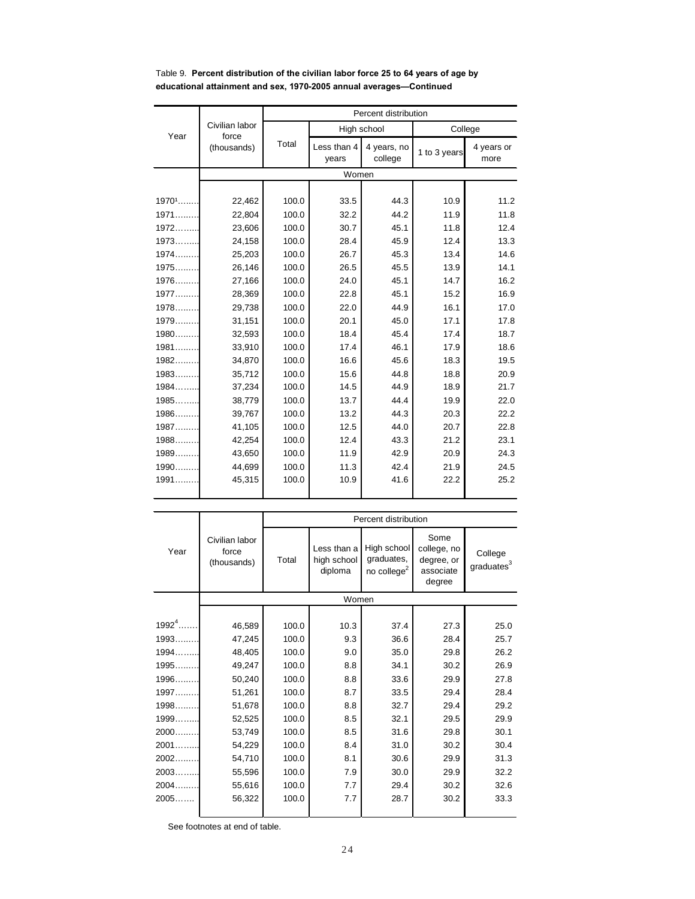|        |                                        | Percent distribution |                      |                        |              |                    |
|--------|----------------------------------------|----------------------|----------------------|------------------------|--------------|--------------------|
| Year   | Civilian labor<br>force<br>(thousands) | Total                | High school          |                        | College      |                    |
|        |                                        |                      | Less than 4<br>years | 4 years, no<br>college | 1 to 3 years | 4 years or<br>more |
|        |                                        |                      | Women                |                        |              |                    |
|        |                                        |                      |                      |                        |              |                    |
| 19701  | 22,462                                 | 100.0                | 33.5                 | 44.3                   | 10.9         | 11.2               |
| $1971$ | 22.804                                 | 100.0                | 32.2                 | 44.2                   | 11.9         | 11.8               |
| $1972$ | 23,606                                 | 100.0                | 30.7                 | 45.1                   | 11.8         | 12.4               |
| 1973   | 24,158                                 | 100.0                | 28.4                 | 45.9                   | 12.4         | 13.3               |
| $1974$ | 25,203                                 | 100.0                | 26.7                 | 45.3                   | 13.4         | 14.6               |
| 1975   | 26,146                                 | 100.0                | 26.5                 | 45.5                   | 13.9         | 14.1               |
| 1976   | 27,166                                 | 100.0                | 24.0                 | 45.1                   | 14.7         | 16.2               |
| 1977   | 28,369                                 | 100.0                | 22.8                 | 45.1                   | 15.2         | 16.9               |
| 1978   | 29,738                                 | 100.0                | 22.0                 | 44.9                   | 16.1         | 17.0               |
| 1979   | 31,151                                 | 100.0                | 20.1                 | 45.0                   | 17.1         | 17.8               |
| $1980$ | 32,593                                 | 100.0                | 18.4                 | 45.4                   | 17.4         | 18.7               |
| $1981$ | 33,910                                 | 100.0                | 17.4                 | 46.1                   | 17.9         | 18.6               |
| $1982$ | 34,870                                 | 100.0                | 16.6                 | 45.6                   | 18.3         | 19.5               |
| $1983$ | 35,712                                 | 100.0                | 15.6                 | 44.8                   | 18.8         | 20.9               |
| 1984   | 37,234                                 | 100.0                | 14.5                 | 44.9                   | 18.9         | 21.7               |
| 1985   | 38,779                                 | 100.0                | 13.7                 | 44.4                   | 19.9         | 22.0               |
| $1986$ | 39,767                                 | 100.0                | 13.2                 | 44.3                   | 20.3         | 22.2               |
| 1987   | 41,105                                 | 100.0                | 12.5                 | 44.0                   | 20.7         | 22.8               |
| $1988$ | 42,254                                 | 100.0                | 12.4                 | 43.3                   | 21.2         | 23.1               |
| $1989$ | 43,650                                 | 100.0                | 11.9                 | 42.9                   | 20.9         | 24.3               |
| $1990$ | 44,699                                 | 100.0                | 11.3                 | 42.4                   | 21.9         | 24.5               |
| 1991   | 45,315                                 | 100.0                | 10.9                 | 41.6                   | 22.2         | 25.2               |

## Table 9. **Percent distribution of the civilian labor force 25 to 64 years of age by educational attainment and sex, 1970-2005 annual averages—Continued**

|              | Percent distribution                   |       |                                       |                                                      |                                                          |                                   |
|--------------|----------------------------------------|-------|---------------------------------------|------------------------------------------------------|----------------------------------------------------------|-----------------------------------|
| Year         | Civilian labor<br>force<br>(thousands) | Total | Less than a<br>high school<br>diploma | High school<br>graduates,<br>no college <sup>2</sup> | Some<br>college, no<br>degree, or<br>associate<br>degree | College<br>graduates <sup>3</sup> |
|              |                                        |       | Women                                 |                                                      |                                                          |                                   |
|              |                                        |       |                                       |                                                      |                                                          |                                   |
| $1992^{4}$ . | 46,589                                 | 100.0 | 10.3                                  | 37.4                                                 | 27.3                                                     | 25.0                              |
| 1993.        | 47,245                                 | 100.0 | 9.3                                   | 36.6                                                 | 28.4                                                     | 25.7                              |
| 1994.        | 48,405                                 | 100.0 | 9.0                                   | 35.0                                                 | 29.8                                                     | 26.2                              |
| 1995.        | 49,247                                 | 100.0 | 8.8                                   | 34.1                                                 | 30.2                                                     | 26.9                              |
| 1996.        | 50,240                                 | 100.0 | 8.8                                   | 33.6                                                 | 29.9                                                     | 27.8                              |
| 1997.        | 51,261                                 | 100.0 | 8.7                                   | 33.5                                                 | 29.4                                                     | 28.4                              |
| 1998.        | 51,678                                 | 100.0 | 8.8                                   | 32.7                                                 | 29.4                                                     | 29.2                              |
| 1999.        | 52,525                                 | 100.0 | 8.5                                   | 32.1                                                 | 29.5                                                     | 29.9                              |
| 2000.        | 53,749                                 | 100.0 | 8.5                                   | 31.6                                                 | 29.8                                                     | 30.1                              |
| 2001.        | 54,229                                 | 100.0 | 8.4                                   | 31.0                                                 | 30.2                                                     | 30.4                              |
| 2002.        | 54,710                                 | 100.0 | 8.1                                   | 30.6                                                 | 29.9                                                     | 31.3                              |
| 2003.        | 55,596                                 | 100.0 | 7.9                                   | 30.0                                                 | 29.9                                                     | 32.2                              |
| 2004.        | 55,616                                 | 100.0 | 7.7                                   | 29.4                                                 | 30.2                                                     | 32.6                              |
| 2005.        | 56,322                                 | 100.0 | 7.7                                   | 28.7                                                 | 30.2                                                     | 33.3                              |

See footnotes at end of table.